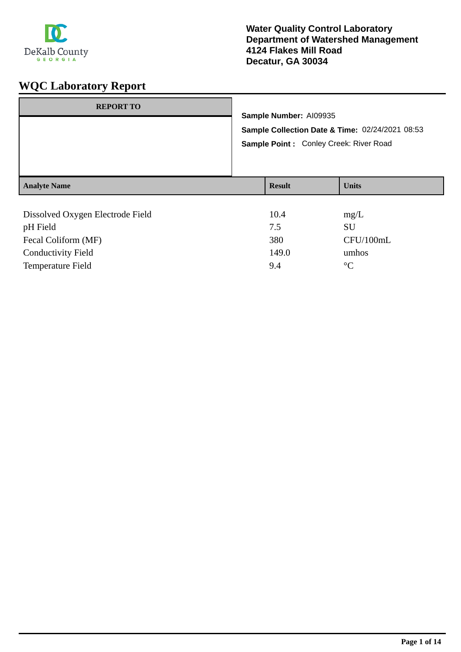

| <b>REPORT TO</b>                 |  | Sample Number: AI09935<br>Sample Collection Date & Time: 02/24/2021 08:53 |              |  |
|----------------------------------|--|---------------------------------------------------------------------------|--------------|--|
|                                  |  |                                                                           |              |  |
|                                  |  | Sample Point: Conley Creek: River Road                                    |              |  |
| <b>Analyte Name</b>              |  | <b>Result</b>                                                             | <b>Units</b> |  |
|                                  |  |                                                                           |              |  |
| Dissolved Oxygen Electrode Field |  | 10.4                                                                      | mg/L         |  |
| pH Field                         |  | 7.5                                                                       | SU           |  |
| Fecal Coliform (MF)              |  | 380                                                                       | CFU/100mL    |  |

Conductivity Field 149.0 umhos Temperature Field  $9.4$  °C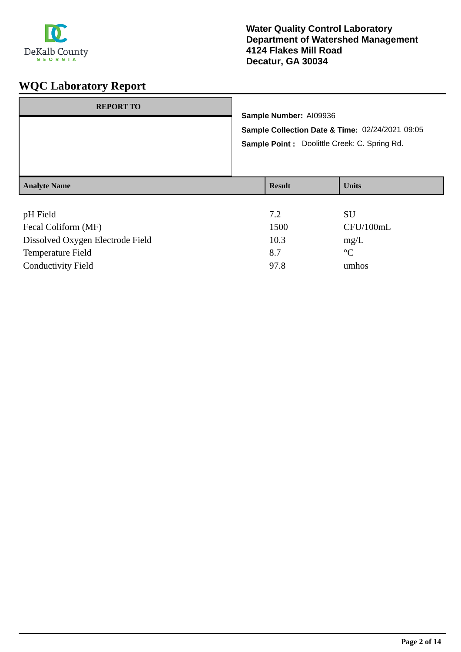

| <b>REPORT TO</b>    | Sample Number: AI09936<br>Sample Point : Doolittle Creek: C. Spring Rd. | Sample Collection Date & Time: 02/24/2021 09:05 |
|---------------------|-------------------------------------------------------------------------|-------------------------------------------------|
| <b>Analyte Name</b> | <b>Result</b>                                                           | <b>Units</b>                                    |

| pH Field                         | 7.2  | <b>SU</b>       |
|----------------------------------|------|-----------------|
| Fecal Coliform (MF)              | 1500 | CFU/100mL       |
| Dissolved Oxygen Electrode Field | 10.3 | mg/L            |
| <b>Temperature Field</b>         | 8.7  | $\rm ^{\circ}C$ |
| <b>Conductivity Field</b>        | 97.8 | umhos           |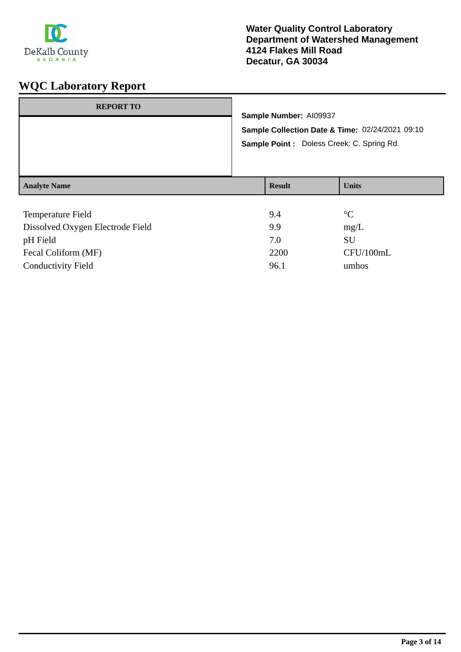

| <b>REPORT TO</b>    | Sample Number: Al09937<br>Sample Collection Date & Time: 02/24/2021 09:10<br>Sample Point : Doless Creek: C. Spring Rd. |               |              |
|---------------------|-------------------------------------------------------------------------------------------------------------------------|---------------|--------------|
| <b>Analyte Name</b> |                                                                                                                         | <b>Result</b> | <b>Units</b> |
| Temperature Field   |                                                                                                                         | 94            | $\circ$      |

| 9.4  | $^{\circ}C$ |
|------|-------------|
| 9.9  | mg/L        |
| 7.0  | SU          |
| 2200 | CFU/100mL   |
| 96.1 | umhos       |
|      |             |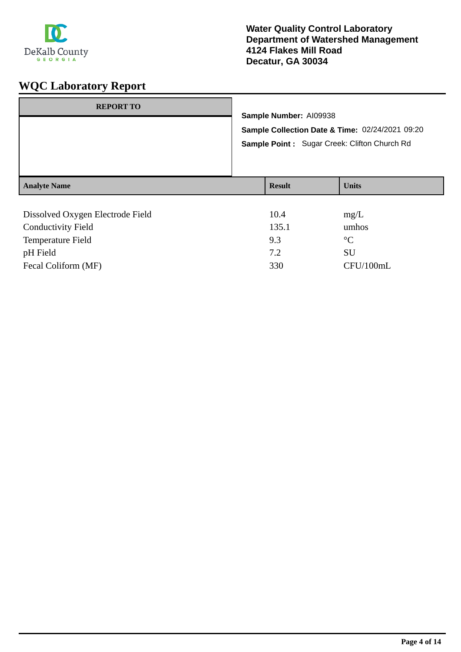

| <b>REPORT TO</b>                 | Sample Number: AI09938<br>Sample Collection Date & Time: 02/24/2021 09:20<br>Sample Point: Sugar Creek: Clifton Church Rd |               |              |
|----------------------------------|---------------------------------------------------------------------------------------------------------------------------|---------------|--------------|
| <b>Analyte Name</b>              |                                                                                                                           | <b>Result</b> | <b>Units</b> |
| Dissolved Oxygen Electrode Field |                                                                                                                           | 10.4          | mg/L         |

| $P_{10001}$ , ca. $O_{11}$ , gen Electrone I fera | 1 V . I | $\mathbf{u}$ |
|---------------------------------------------------|---------|--------------|
| <b>Conductivity Field</b>                         | 135.1   | umhos        |
| Temperature Field                                 | 9.3     | $\circ$ C    |
| pH Field                                          | 7.2     | SU           |
| Fecal Coliform (MF)                               | 330     | CFU/100mL    |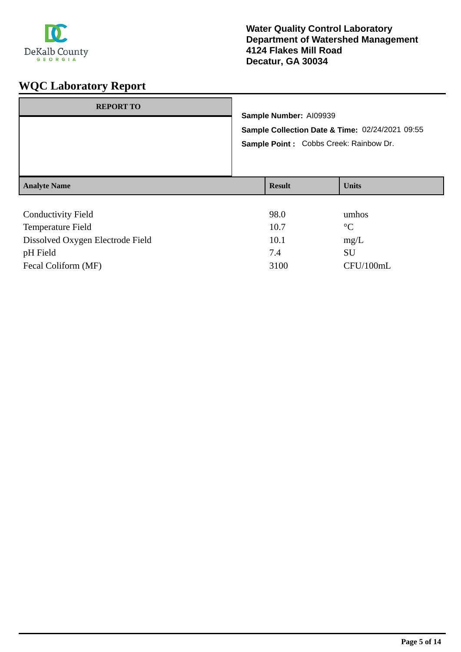

| <b>REPORT TO</b>          | Sample Number: AI09939<br>Sample Collection Date & Time: 02/24/2021 09:55<br>Sample Point : Cobbs Creek: Rainbow Dr. |               |              |
|---------------------------|----------------------------------------------------------------------------------------------------------------------|---------------|--------------|
| <b>Analyte Name</b>       |                                                                                                                      | <b>Result</b> | <b>Units</b> |
| <b>Conductivity Field</b> |                                                                                                                      | 98.0<br>.     | umhos<br>- - |

| Temperature Field                | 10.7 | $^{\circ}C$ |
|----------------------------------|------|-------------|
| Dissolved Oxygen Electrode Field | 10.1 | mg/L        |
| pH Field                         | 7.4  | SU          |
| Fecal Coliform (MF)              | 3100 | CFU/100mL   |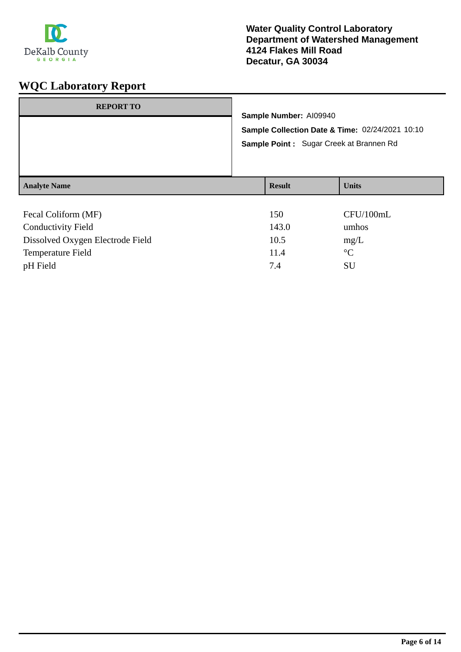

| <b>REPORT TO</b>    |                                                                           |              |  |
|---------------------|---------------------------------------------------------------------------|--------------|--|
|                     | Sample Number: AI09940<br>Sample Collection Date & Time: 02/24/2021 10:10 |              |  |
|                     |                                                                           |              |  |
|                     | Sample Point: Sugar Creek at Brannen Rd                                   |              |  |
| <b>Analyte Name</b> | <b>Result</b>                                                             | <b>Units</b> |  |
|                     |                                                                           |              |  |
| Fecal Coliform (MF) | 150                                                                       | CFU/100mL    |  |
|                     | .                                                                         |              |  |

| <b>Conductivity Field</b>        | 143.0 | umhos       |
|----------------------------------|-------|-------------|
| Dissolved Oxygen Electrode Field | 10.5  | mg/L        |
| <b>Temperature Field</b>         | 11.4  | $^{\circ}C$ |
| pH Field                         | 74    | SU          |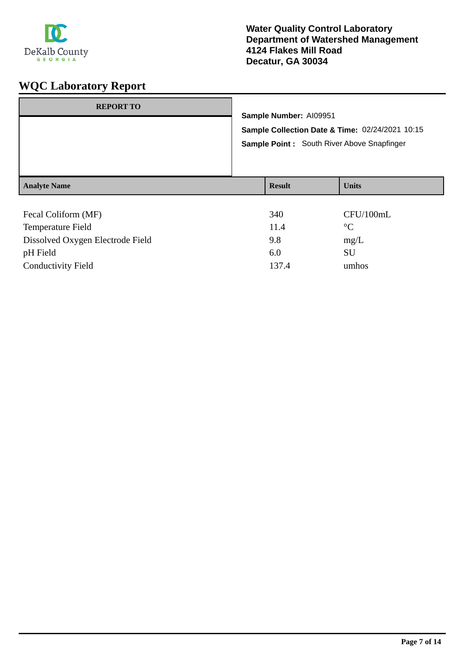

| <b>REPORT TO</b>                         | Sample Number: AI09951<br>Sample Collection Date & Time: 02/24/2021 10:15<br>Sample Point: South River Above Snapfinger |               |                          |
|------------------------------------------|-------------------------------------------------------------------------------------------------------------------------|---------------|--------------------------|
| <b>Analyte Name</b>                      |                                                                                                                         | <b>Result</b> | <b>Units</b>             |
| Fecal Coliform (MF)<br>Temperature Field |                                                                                                                         | 340<br>11.4   | CFU/100mL<br>$^{\circ}C$ |

| Temperature Field                | 11.4  | $^{\circ}C$ |
|----------------------------------|-------|-------------|
| Dissolved Oxygen Electrode Field | 9.8   | mg/L        |
| pH Field                         | 6.0   | SU          |
| <b>Conductivity Field</b>        | 137.4 | umhos       |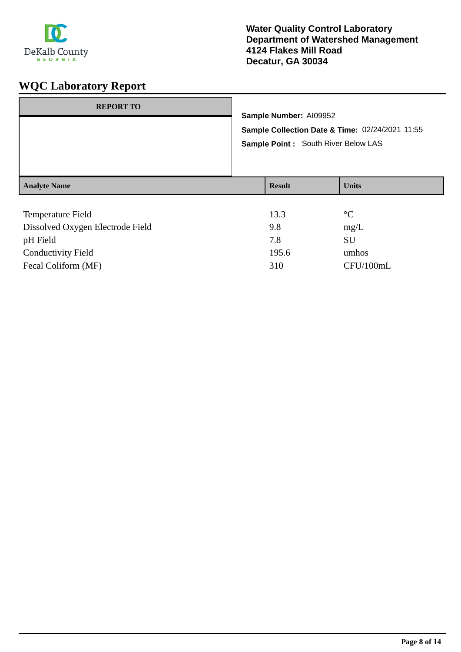

| <b>REPORT TO</b>    | Sample Number: AI09952<br>Sample Collection Date & Time: 02/24/2021 11:55<br>Sample Point : South River Below LAS |               |              |
|---------------------|-------------------------------------------------------------------------------------------------------------------|---------------|--------------|
| <b>Analyte Name</b> |                                                                                                                   | <b>Result</b> | <b>Units</b> |
| Temperature Field   |                                                                                                                   | 133           | $\circ$      |

| <b>Temperature Field</b>         | 13.3  | $\rm ^{\circ}C$ |
|----------------------------------|-------|-----------------|
| Dissolved Oxygen Electrode Field | 9.8   | mg/L            |
| pH Field                         | 7.8   | SU              |
| <b>Conductivity Field</b>        | 195.6 | umhos           |
| Fecal Coliform (MF)              | 310   | CFU/100mL       |
|                                  |       |                 |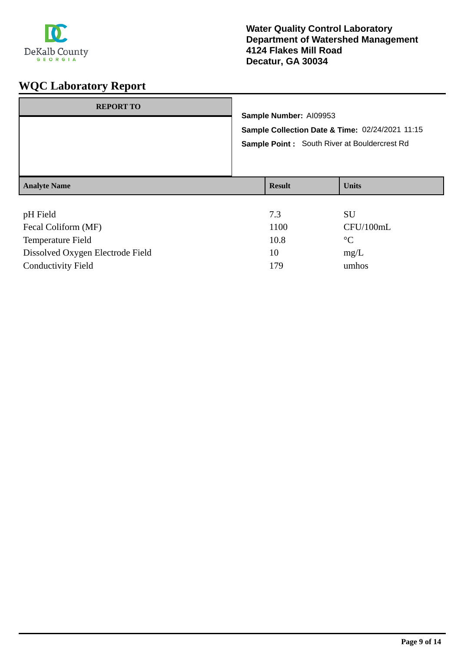

| <b>REPORT TO</b>    | Sample Number: AI09953                                                                                 |              |
|---------------------|--------------------------------------------------------------------------------------------------------|--------------|
|                     | Sample Collection Date & Time: 02/24/2021 11:15<br><b>Sample Point:</b> South River at Bouldercrest Rd |              |
| <b>Analyte Name</b> | <b>Result</b>                                                                                          | <b>Units</b> |
| pH Field            | 7.3                                                                                                    | SU           |

| <b>PIT L'IGIU</b>                |      | ΩU          |
|----------------------------------|------|-------------|
| Fecal Coliform (MF)              | 1100 | CFU/100mL   |
| Temperature Field                | 10.8 | $^{\circ}C$ |
| Dissolved Oxygen Electrode Field | 10   | mg/L        |
| <b>Conductivity Field</b>        | 179  | umhos       |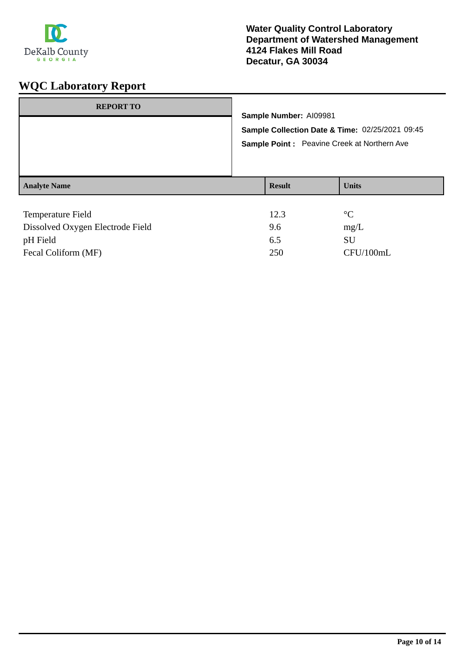

| <b>REPORT TO</b>         | Sample Number: A109981<br>Sample Point: Peavine Creek at Northern Ave | Sample Collection Date & Time: 02/25/2021 09:45 |
|--------------------------|-----------------------------------------------------------------------|-------------------------------------------------|
| <b>Analyte Name</b>      | <b>Result</b>                                                         | <b>Units</b>                                    |
| <b>Temperature Field</b> | 12.3                                                                  | $^{\circ}C$                                     |

| Dissolved Oxygen Electrode Field | 9.6 | mg/L      |
|----------------------------------|-----|-----------|
| pH Field                         | 6.5 | SU        |
| Fecal Coliform (MF)              | 250 | CFU/100mL |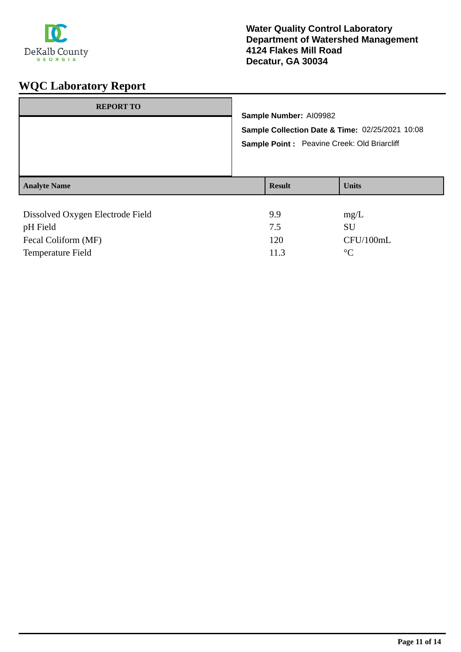

| <b>REPORT TO</b>                 |                                                 | Sample Number: AI09982 |              |
|----------------------------------|-------------------------------------------------|------------------------|--------------|
|                                  | Sample Collection Date & Time: 02/25/2021 10:08 |                        |              |
|                                  | Sample Point: Peavine Creek: Old Briarcliff     |                        |              |
| <b>Analyte Name</b>              |                                                 | <b>Result</b>          | <b>Units</b> |
| Dissolved Oxygen Electrode Field |                                                 | 9.9                    | mg/L         |
| pH Field                         |                                                 | 7.5                    | <b>SU</b>    |

Fecal Coliform (MF) 120 CFU/100mL

Temperature Field 2008 2009 2011.3 PC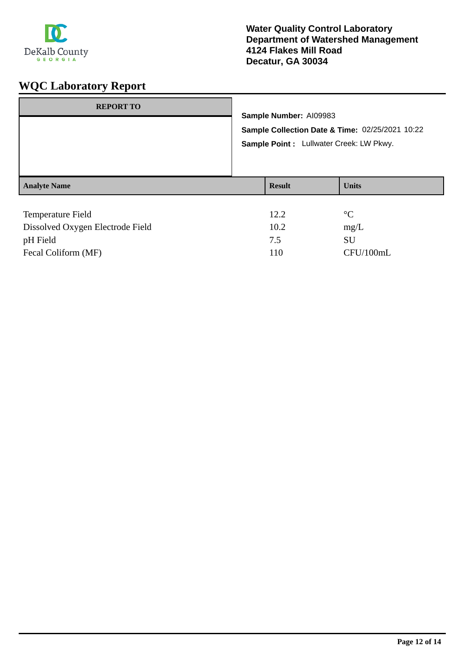

| <b>REPORT TO</b>         | Sample Number: AI09983 | Sample Collection Date & Time: 02/25/2021 10:22<br>Sample Point : Lullwater Creek: LW Pkwy. |
|--------------------------|------------------------|---------------------------------------------------------------------------------------------|
| <b>Analyte Name</b>      | <b>Result</b>          | <b>Units</b>                                                                                |
| <b>Temperature Field</b> | 12.2                   | $\rm ^{\circ}C$                                                                             |

| TUMPULAUMU TIUM                  | $1 \mathcal{L}$ . $\mathcal{L}$ |           |
|----------------------------------|---------------------------------|-----------|
| Dissolved Oxygen Electrode Field | 10.2                            | mg/L      |
| pH Field                         | 7.5                             | SU        |
| Fecal Coliform (MF)              | 110                             | CFU/100mL |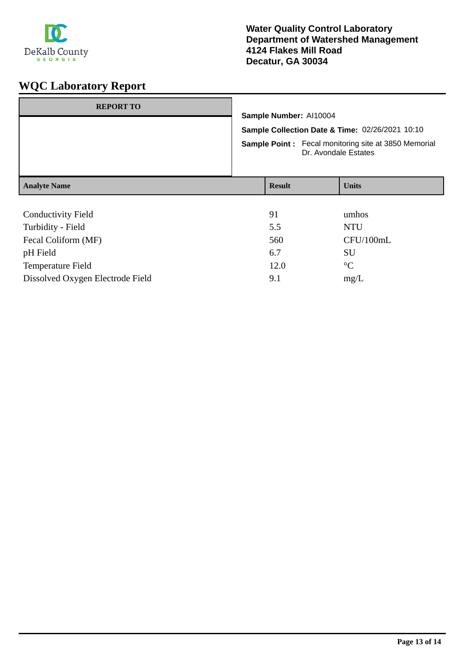

| <b>REPORT TO</b>          | Sample Number: Al10004<br>Sample Collection Date & Time: 02/26/2021 10:10<br><b>Sample Point:</b> Fecal monitoring site at 3850 Memorial<br>Dr. Avondale Estates |  |                 |
|---------------------------|------------------------------------------------------------------------------------------------------------------------------------------------------------------|--|-----------------|
| <b>Analyte Name</b>       | <b>Result</b>                                                                                                                                                    |  | <b>Units</b>    |
|                           |                                                                                                                                                                  |  |                 |
| <b>Conductivity Field</b> | 91                                                                                                                                                               |  | umhos           |
| Turbidity - Field         | 5.5                                                                                                                                                              |  | <b>NTU</b>      |
| Fecal Coliform (MF)       | 560                                                                                                                                                              |  | CFU/100mL       |
| pH Field                  | 6.7                                                                                                                                                              |  | SU              |
| <b>Temperature Field</b>  | 12.0                                                                                                                                                             |  | $\rm ^{\circ}C$ |

Dissolved Oxygen Electrode Field 9.1 mg/L